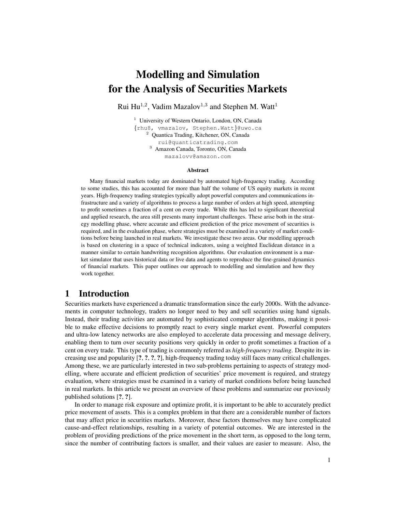# Modelling and Simulation for the Analysis of Securities Markets

Rui Hu<sup>1,2</sup>, Vadim Mazalov<sup>1,3</sup> and Stephen M. Watt<sup>1</sup>

<sup>1</sup> University of Western Ontario, London, ON, Canada {rhu8, vmazalov, Stephen.Watt}@uwo.ca <sup>2</sup> Quantica Trading, Kitchener, ON, Canada rui@quanticatrading.com <sup>3</sup> Amazon Canada, Toronto, ON, Canada mazalovv@amazon.com

#### Abstract

Many financial markets today are dominated by automated high-frequency trading. According to some studies, this has accounted for more than half the volume of US equity markets in recent years. High-frequency trading strategies typically adopt powerful computers and communications infrastructure and a variety of algorithms to process a large number of orders at high speed, attempting to profit sometimes a fraction of a cent on every trade. While this has led to significant theoretical and applied research, the area still presents many important challenges. These arise both in the strategy modelling phase, where accurate and efficient prediction of the price movement of securities is required, and in the evaluation phase, where strategies must be examined in a variety of market conditions before being launched in real markets. We investigate these two areas. Our modelling approach is based on clustering in a space of technical indicators, using a weighted Euclidean distance in a manner similar to certain handwriting recognition algorithms. Our evaluation environment is a market simulator that uses historical data or live data and agents to reproduce the fine-grained dynamics of financial markets. This paper outlines our approach to modelling and simulation and how they work together.

## 1 Introduction

Securities markets have experienced a dramatic transformation since the early 2000s. With the advancements in computer technology, traders no longer need to buy and sell securities using hand signals. Instead, their trading activities are automated by sophisticated computer algorithms, making it possible to make effective decisions to promptly react to every single market event. Powerful computers and ultra-low latency networks are also employed to accelerate data processing and message delivery, enabling them to turn over security positions very quickly in order to profit sometimes a fraction of a cent on every trade. This type of trading is commonly referred as *high-frequency trading*. Despite its increasing use and popularity [?, ?, ?, ?], high-frequency trading today still faces many critical challenges. Among these, we are particularly interested in two sub-problems pertaining to aspects of strategy modelling, where accurate and efficient prediction of securities' price movement is required, and strategy evaluation, where strategies must be examined in a variety of market conditions before being launched in real markets. In this article we present an overview of these problems and summarize our previously published solutions [?, ?].

In order to manage risk exposure and optimize profit, it is important to be able to accurately predict price movement of assets. This is a complex problem in that there are a considerable number of factors that may affect price in securities markets. Moreover, these factors themselves may have complicated cause-and-effect relationships, resulting in a variety of potential outcomes. We are interested in the problem of providing predictions of the price movement in the short term, as opposed to the long term, since the number of contributing factors is smaller, and their values are easier to measure. Also, the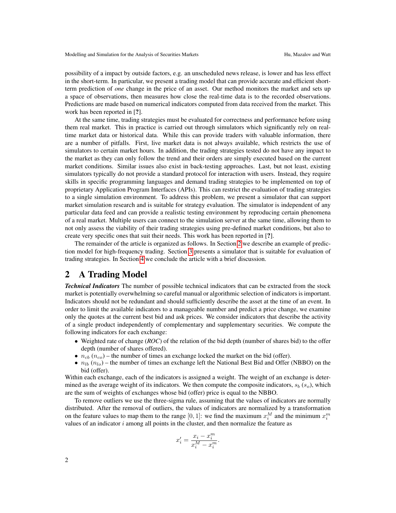possibility of a impact by outside factors, e.g. an unscheduled news release, is lower and has less effect in the short-term. In particular, we present a trading model that can provide accurate and efficient shortterm prediction of *one* change in the price of an asset. Our method monitors the market and sets up a space of observations, then measures how close the real-time data is to the recorded observations. Predictions are made based on numerical indicators computed from data received from the market. This work has been reported in [?].

At the same time, trading strategies must be evaluated for correctness and performance before using them real market. This in practice is carried out through simulators which significantly rely on realtime market data or historical data. While this can provide traders with valuable information, there are a number of pitfalls. First, live market data is not always available, which restricts the use of simulators to certain market hours. In addition, the trading strategies tested do not have any impact to the market as they can only follow the trend and their orders are simply executed based on the current market conditions. Similar issues also exist in back-testing approaches. Last, but not least, existing simulators typically do not provide a standard protocol for interaction with users. Instead, they require skills in specific programming languages and demand trading strategies to be implemented on top of proprietary Application Program Interfaces (APIs). This can restrict the evaluation of trading strategies to a single simulation environment. To address this problem, we present a simulator that can support market simulation research and is suitable for strategy evaluation. The simulator is independent of any particular data feed and can provide a realistic testing environment by reproducing certain phenomena of a real market. Multiple users can connect to the simulation server at the same time, allowing them to not only assess the viability of their trading strategies using pre-defined market conditions, but also to create very specific ones that suit their needs. This work has been reported in [?].

The remainder of the article is organized as follows. In Section [2](#page-1-0) we describe an example of prediction model for high-frequency trading. Section [3](#page-4-0) presents a simulator that is suitable for evaluation of trading strategies. In Section [4](#page-6-0) we conclude the article with a brief discussion.

## <span id="page-1-0"></span>2 A Trading Model

*Technical Indicators* The number of possible technical indicators that can be extracted from the stock market is potentially overwhelming so careful manual or algorithmic selection of indicators is important. Indicators should not be redundant and should sufficiently describe the asset at the time of an event. In order to limit the available indicators to a manageable number and predict a price change, we examine only the quotes at the current best bid and ask prices. We consider indicators that describe the activity of a single product independently of complementary and supplementary securities. We compute the following indicators for each exchange:

- Weighted rate of change (*ROC*) of the relation of the bid depth (number of shares bid) to the offer depth (number of shares offered).
- $n_{cb}$  ( $n_{co}$ ) the number of times an exchange locked the market on the bid (offer).
- $n_{lb} (n_{lo})$  the number of times an exchange left the National Best Bid and Offer (NBBO) on the bid (offer).

Within each exchange, each of the indicators is assigned a weight. The weight of an exchange is determined as the average weight of its indicators. We then compute the composite indicators,  $s_b$  ( $s_o$ ), which are the sum of weights of exchanges whose bid (offer) price is equal to the NBBO.

To remove outliers we use the three-sigma rule, assuming that the values of indicators are normally distributed. After the removal of outliers, the values of indicators are normalized by a transformation on the feature values to map them to the range [0, 1]: we find the maximum  $x_i^M$  and the minimum  $x_i^m$ values of an indicator  $i$  among all points in the cluster, and then normalize the feature as

$$
x_i' = \frac{x_i - x_i^m}{x_i^M - x_i^m}.
$$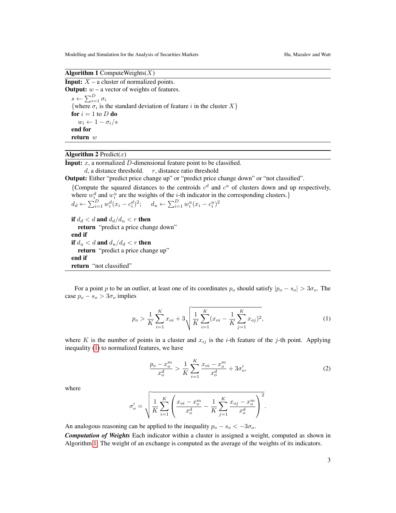Algorithm 1 Compute Weights $(X)$ 

<span id="page-2-1"></span>**Input:**  $X$  – a cluster of normalized points. **Output:**  $w - a$  vector of weights of features.  $s \leftarrow \sum_{i=1}^{D} \sigma_i$ {where  $\sigma_i$  is the standard deviation of feature i in the cluster  $X$ } for  $i = 1$  to  $D$  do  $w_i \leftarrow 1 - \sigma_i/s$ end for return w

### Algorithm 2 Predict $(x)$

<span id="page-2-2"></span>**Input:**  $x$ , a normalized  $D$ -dimensional feature point to be classified.

 $d$ , a distance threshold.  $r$ , distance ratio threshold

Output: Either "predict price change up" or "predict price change down" or "not classified".

{Compute the squared distances to the centroids  $c<sup>d</sup>$  and  $c<sup>u</sup>$  of clusters down and up respectively, where  $w_i^d$  and  $w_i^u$  are the weights of the *i*-th indicator in the corresponding clusters.}

$$
d_d \leftarrow \sum_{i=1}^D w_i^d (x_i - c_i^d)^2; \quad d_u \leftarrow \sum_{i=1}^D w_i^u (x_i - c_i^u)^2
$$

if  $d_d < d$  and  $d_d/d_u < r$  then return "predict a price change down" end if if  $d_u < d$  and  $d_u/d_d < r$  then return "predict a price change up" end if return "not classified"

For a point p to be an outlier, at least one of its coordinates  $p_0$  should satisfy  $|p_0 - s_0| > 3\sigma_0$ . The case  $p_o - s_o > 3\sigma_o$  implies

<span id="page-2-0"></span>
$$
p_o > \frac{1}{K} \sum_{i=1}^{K} x_{oi} + 3\sqrt{\frac{1}{K} \sum_{i=1}^{K} (x_{oi} - \frac{1}{K} \sum_{j=1}^{K} x_{oj})^2},
$$
\n(1)

where K is the number of points in a cluster and  $x_{ij}$  is the *i*-th feature of the *j*-th point. Applying inequality [\(1\)](#page-2-0) to normalized features, we have

$$
\frac{p_o - x_o^m}{x_o^d} > \frac{1}{K} \sum_{i=1}^K \frac{x_{oi} - x_o^m}{x_o^d} + 3\sigma_o',\tag{2}
$$

where

$$
\sigma'_{o} = \sqrt{\frac{1}{K} \sum_{i=1}^{K} \left( \frac{x_{oi} - x_{o}^{m}}{x_{o}^{d}} - \frac{1}{K} \sum_{j=1}^{K} \frac{x_{oj} - x_{o}^{m}}{x_{o}^{d}} \right)^{2}}.
$$

An analogous reasoning can be applied to the inequality  $p_o - s_o < -3\sigma_o$ .

*Computation of Weights* Each indicator within a cluster is assigned a weight, computed as shown in Algorithm [1.](#page-2-1) The weight of an exchange is computed as the average of the weights of its indicators.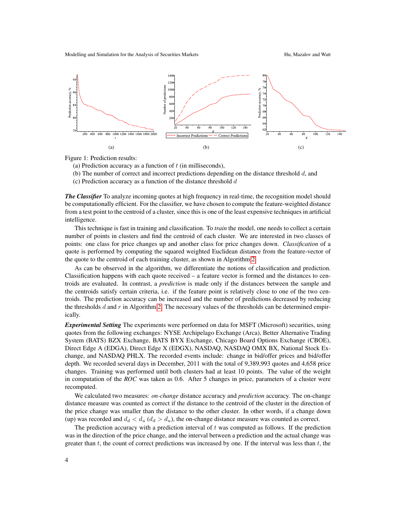Modelling and Simulation for the Analysis of Securities Markets Hu, Mazalov and Watt

<span id="page-3-2"></span>

<span id="page-3-0"></span>

Figure 1: Prediction results:

<span id="page-3-1"></span>(a) Prediction accuracy as a function of  $t$  (in milliseconds),

(b) The number of correct and incorrect predictions depending on the distance threshold  $d$ , and

(c) Prediction accuracy as a function of the distance threshold  $d$ 

*The Classifier* To analyze incoming quotes at high frequency in real-time, the recognition model should be computationally efficient. For the classifier, we have chosen to compute the feature-weighted distance from a test point to the centroid of a cluster, since this is one of the least expensive techniques in artificial intelligence.

This technique is fast in training and classification. To *train* the model, one needs to collect a certain number of points in clusters and find the centroid of each cluster. We are interested in two classes of points: one class for price changes up and another class for price changes down. *Classification* of a quote is performed by computing the squared weighted Euclidean distance from the feature-vector of the quote to the centroid of each training cluster, as shown in Algorithm [2.](#page-2-2)

As can be observed in the algorithm, we differentiate the notions of classification and prediction. Classification happens with each quote received – a feature vector is formed and the distances to centroids are evaluated. In contrast, a *prediction* is made only if the distances between the sample and the centroids satisfy certain criteria, i.e. if the feature point is relatively close to one of the two centroids. The prediction accuracy can be increased and the number of predictions decreased by reducing the thresholds  $d$  and  $r$  in Algorithm [2.](#page-2-2) The necessary values of the thresholds can be determined empirically.

*Experimental Setting* The experiments were performed on data for MSFT (Microsoft) securities, using quotes from the following exchanges: NYSE Archipelago Exchange (Arca), Better Alternative Trading System (BATS) BZX Exchange, BATS BYX Exchange, Chicago Board Options Exchange (CBOE), Direct Edge A (EDGA), Direct Edge X (EDGX), NASDAQ, NASDAQ OMX BX, National Stock Exchange, and NASDAQ PHLX. The recorded events include: change in bid/offer prices and bid/offer depth. We recorded several days in December, 2011 with the total of 9,389,993 quotes and 4,658 price changes. Training was performed until both clusters had at least 10 points. The value of the weight in computation of the *ROC* was taken as 0.6. After 5 changes in price, parameters of a cluster were recomputed.

We calculated two measures: *on-change* distance accuracy and *prediction* accuracy. The on-change distance measure was counted as correct if the distance to the centroid of the cluster in the direction of the price change was smaller than the distance to the other cluster. In other words, if a change down (up) was recorded and  $d_d < d_u (d_d > d_u)$ , the on-change distance measure was counted as correct.

The prediction accuracy with a prediction interval of t was computed as follows. If the prediction was in the direction of the price change, and the interval between a prediction and the actual change was greater than  $t$ , the count of correct predictions was increased by one. If the interval was less than  $t$ , the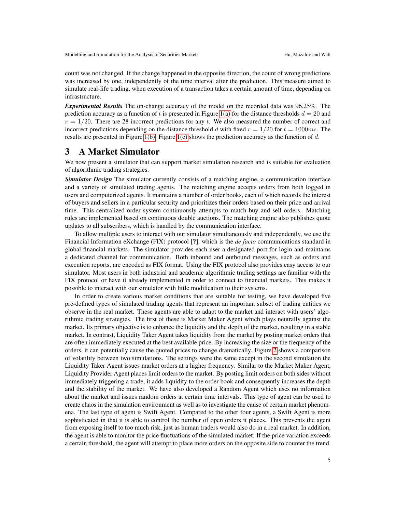count was not changed. If the change happened in the opposite direction, the count of wrong predictions was increased by one, independently of the time interval after the prediction. This measure aimed to simulate real-life trading, when execution of a transaction takes a certain amount of time, depending on infrastructure.

*Experimental Results* The on-change accuracy of the model on the recorded data was 96.25%. The prediction accuracy as a function of t is presented in Figure [1\(a\)](#page-3-0) for the distance thresholds  $d = 20$  and  $r = 1/20$ . There are 28 incorrect predictions for any t. We also measured the number of correct and incorrect predictions depending on the distance threshold d with fixed  $r = 1/20$  for  $t = 1000$ ms. The results are presented in Figure [1\(b\).](#page-3-1) Figure [1\(c\)](#page-3-2) shows the prediction accuracy as the function of d.

## <span id="page-4-0"></span>3 A Market Simulator

We now present a simulator that can support market simulation research and is suitable for evaluation of algorithmic trading strategies.

*Simulator Design* The simulator currently consists of a matching engine, a communication interface and a variety of simulated trading agents. The matching engine accepts orders from both logged in users and computerized agents. It maintains a number of order books, each of which records the interest of buyers and sellers in a particular security and prioritizes their orders based on their price and arrival time. This centralized order system continuously attempts to match buy and sell orders. Matching rules are implemented based on continuous double auctions. The matching engine also publishes quote updates to all subscribers, which is handled by the communication interface.

To allow multiple users to interact with our simulator simultaneously and independently, we use the Financial Information eXchange (FIX) protocol [?], which is the *de facto* communications standard in global financial markets. The simulator provides each user a designated port for login and maintains a dedicated channel for communication. Both inbound and outbound messages, such as orders and execution reports, are encoded as FIX format. Using the FIX protocol also provides easy access to our simulator. Most users in both industrial and academic algorithmic trading settings are familiar with the FIX protocol or have it already implemented in order to connect to financial markets. This makes it possible to interact with our simulator with little modification to their systems.

In order to create various market conditions that are suitable for testing, we have developed five pre-defined types of simulated trading agents that represent an important subset of trading entities we observe in the real market. These agents are able to adapt to the market and interact with users' algorithmic trading strategies. The first of these is Market Maker Agent which plays neutrally against the market. Its primary objective is to enhance the liquidity and the depth of the market, resulting in a stable market. In contrast, Liquidity Taker Agent takes liquidity from the market by posting market orders that are often immediately executed at the best available price. By increasing the size or the frequency of the orders, it can potentially cause the quoted prices to change dramatically. Figure [2](#page-5-0) shows a comparison of volatility between two simulations. The settings were the same except in the second simulation the Liquidity Taker Agent issues market orders at a higher frequency. Similar to the Market Maker Agent, Liquidity Provider Agent places limit orders to the market. By posting limit orders on both sides without immediately triggering a trade, it adds liquidity to the order book and consequently increases the depth and the stability of the market. We have also developed a Random Agent which uses no information about the market and issues random orders at certain time intervals. This type of agent can be used to create chaos in the simulation environment as well as to investigate the cause of certain market phenomena. The last type of agent is Swift Agent. Compared to the other four agents, a Swift Agent is more sophisticated in that it is able to control the number of open orders it places. This prevents the agent from exposing itself to too much risk, just as human traders would also do in a real market. In addition, the agent is able to monitor the price fluctuations of the simulated market. If the price variation exceeds a certain threshold, the agent will attempt to place more orders on the opposite side to counter the trend.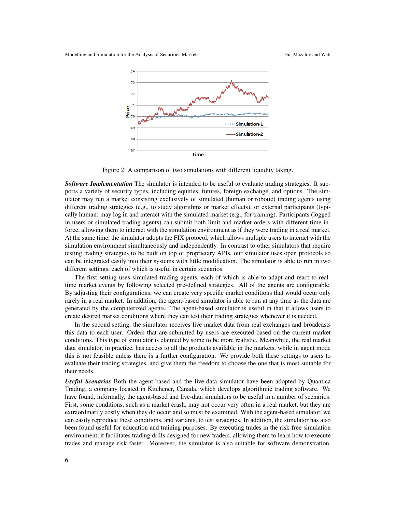Modelling and Simulation for the Analysis of Securities Markets Hu, Mazalov and Watt

<span id="page-5-0"></span>



Figure 2: A comparison of two simulations with different liquidity taking.

*Software Implementation* The simulator is intended to be useful to evaluate trading strategies. It supports a variety of security types, including equities, futures, foreign exchange, and options. The simulator may run a market consisting exclusively of simulated (human or robotic) trading agents using different trading strategies (e.g., to study algorithms or market effects), or external participants (typically human) may log in and interact with the simulated market (e.g., for training). Participants (logged in users or simulated trading agents) can submit both limit and market orders with different time-inforce, allowing them to interact with the simulation environment as if they were trading in a real market. At the same time, the simulator adopts the FIX protocol, which allows multiple users to interact with the simulation environment simultaneously and independently. In contrast to other simulators that require testing trading strategies to be built on top of proprietary APIs, our simulator uses open protocols so can be integrated easily into their systems with little modification. The simulator is able to run in two different settings, each of which is useful in certain scenarios.

The first setting uses simulated trading agents, each of which is able to adapt and react to realtime market events by following selected pre-defined strategies. All of the agents are configurable. By adjusting their configurations, we can create very specific market conditions that would occur only rarely in a real market. In addition, the agent-based simulator is able to run at any time as the data are generated by the computerized agents. The agent-based simulator is useful in that it allows users to create desired market conditions where they can test their trading strategies whenever it is needed.

In the second setting, the simulator receives live market data from real exchanges and broadcasts this data to each user. Orders that are submitted by users are executed based on the current market conditions. This type of simulator is claimed by some to be more realistic. Meanwhile, the real market data simulator, in practice, has access to all the products available in the markets, while in agent mode this is not feasible unless there is a further configuration. We provide both these settings to users to evaluate their trading strategies, and give them the freedom to choose the one that is most suitable for their needs.

*Useful Scenarios* Both the agent-based and the live-data simulator have been adopted by Quantica Trading, a company located in Kitchener, Canada, which develops algorithmic trading software. We have found, informally, the agent-based and live-data simulators to be useful in a number of scenarios. First, some conditions, such as a market crash, may not occur very often in a real market, but they are extraordinarily costly when they do occur and so must be examined. With the agent-based simulator, we can easily reproduce these conditions, and variants, to test strategies. In addition, the simulator has also been found useful for education and training purposes. By executing trades in the risk-free simulation environment, it facilitates trading drills designed for new traders, allowing them to learn how to execute trades and manage risk faster. Moreover, the simulator is also suitable for software demonstration.